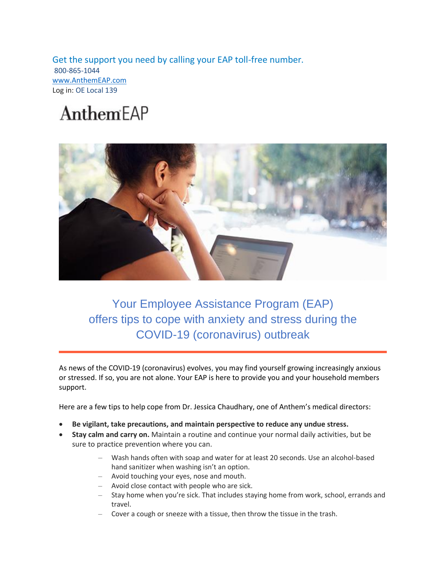Get the support you need by calling your EAP toll-free number. 800-865-1044 [www.AnthemEAP.com](https://linkprotect.cudasvc.com/url?a=http%3a%2f%2fwww.AnthemEAP.com&c=E,1,1iVWbejgtFRzJgu7z8KEfUJ3e3i7icMUhLzsYLT4ixLe_00YJ7ygFiojzdm_BeOIdOvvRUJdkrJfXKutVK7uZRcADSpFPgRRvqHAst56PpN-BC6vU4-poWMaYS4R&typo=1) Log in: OE Local 139

## AnthemEAP



Your Employee Assistance Program (EAP) offers tips to cope with anxiety and stress during the COVID-19 (coronavirus) outbreak

As news of the COVID-19 (coronavirus) evolves, you may find yourself growing increasingly anxious or stressed. If so, you are not alone. Your EAP is here to provide you and your household members support.

Here are a few tips to help cope from Dr. Jessica Chaudhary, one of Anthem's medical directors:

- **Be vigilant, take precautions, and maintain perspective to reduce any undue stress.**
- **Stay calm and carry on.** Maintain a routine and continue your normal daily activities, but be sure to practice prevention where you can.
	- Wash hands often with soap and water for at least 20 seconds. Use an alcohol-based hand sanitizer when washing isn't an option.
	- Avoid touching your eyes, nose and mouth.
	- Avoid close contact with people who are sick.
	- Stay home when you're sick. That includes staying home from work, school, errands and travel.
	- Cover a cough or sneeze with a tissue, then throw the tissue in the trash.